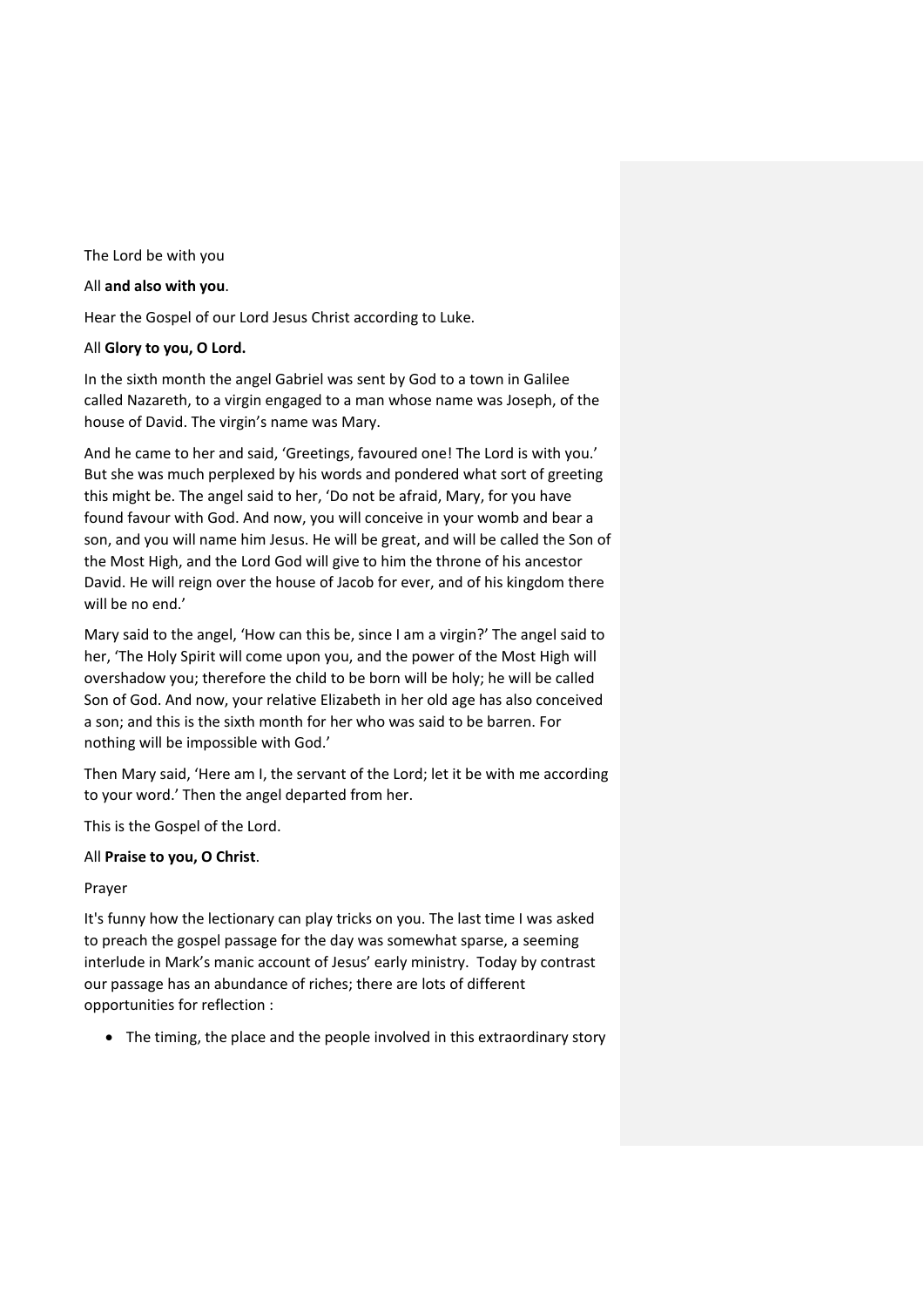The Lord be with you

### All **and also with you**.

Hear the Gospel of our Lord Jesus Christ according to Luke.

### All **Glory to you, O Lord.**

In the sixth month the angel Gabriel was sent by God to a town in Galilee called Nazareth, to a virgin engaged to a man whose name was Joseph, of the house of David. The virgin's name was Mary.

And he came to her and said, 'Greetings, favoured one! The Lord is with you.' But she was much perplexed by his words and pondered what sort of greeting this might be. The angel said to her, 'Do not be afraid, Mary, for you have found favour with God. And now, you will conceive in your womb and bear a son, and you will name him Jesus. He will be great, and will be called the Son of the Most High, and the Lord God will give to him the throne of his ancestor David. He will reign over the house of Jacob for ever, and of his kingdom there will be no end.'

Mary said to the angel, 'How can this be, since I am a virgin?' The angel said to her, 'The Holy Spirit will come upon you, and the power of the Most High will overshadow you; therefore the child to be born will be holy; he will be called Son of God. And now, your relative Elizabeth in her old age has also conceived a son; and this is the sixth month for her who was said to be barren. For nothing will be impossible with God.'

Then Mary said, 'Here am I, the servant of the Lord; let it be with me according to your word.' Then the angel departed from her.

This is the Gospel of the Lord.

## All **Praise to you, O Christ**.

## Prayer

It's funny how the lectionary can play tricks on you. The last time I was asked to preach the gospel passage for the day was somewhat sparse, a seeming interlude in Mark's manic account of Jesus' early ministry. Today by contrast our passage has an abundance of riches; there are lots of different opportunities for reflection :

• The timing, the place and the people involved in this extraordinary story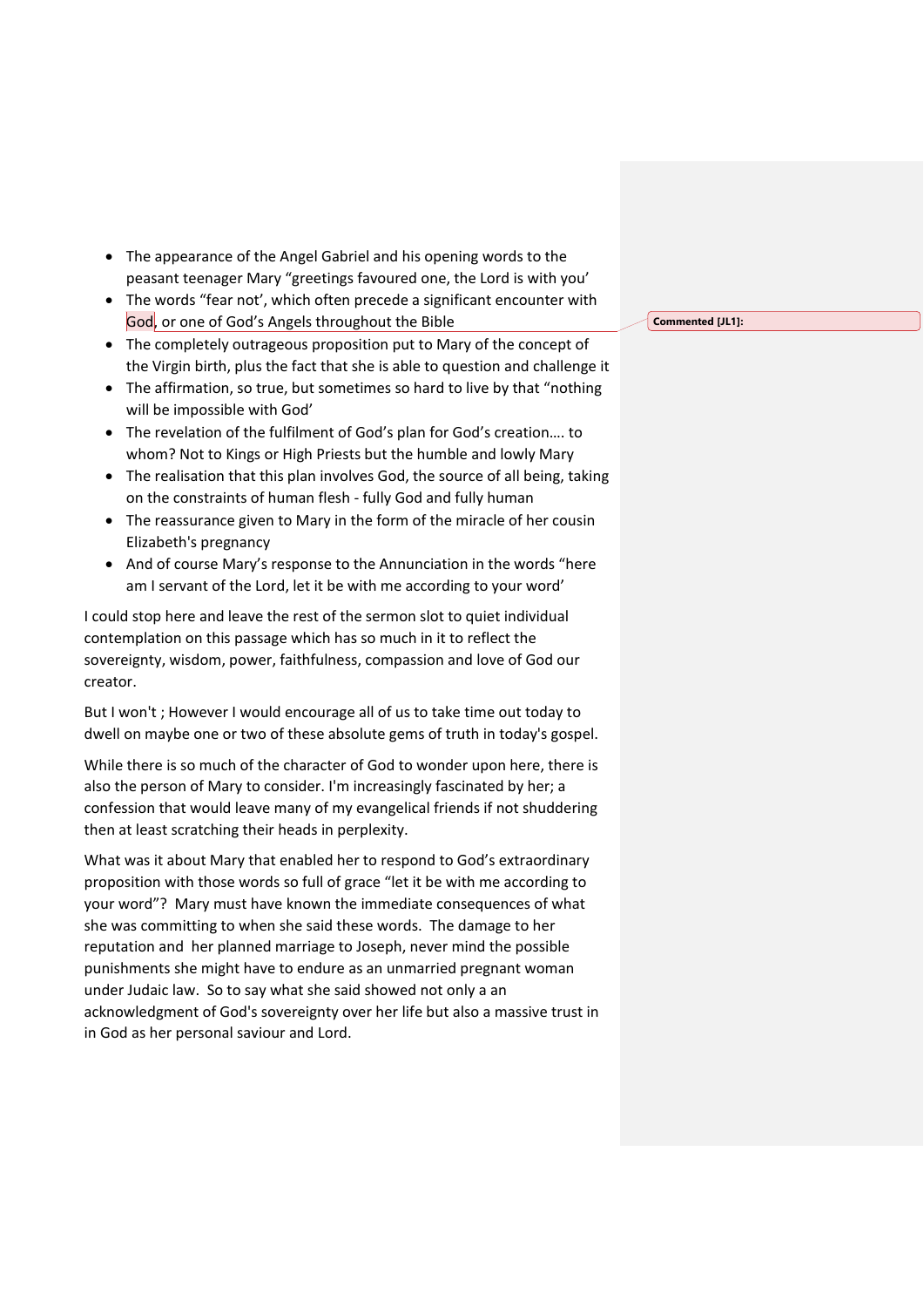- The appearance of the Angel Gabriel and his opening words to the peasant teenager Mary "greetings favoured one, the Lord is with you'
- The words "fear not', which often precede a significant encounter with God, or one of God's Angels throughout the Bible
- The completely outrageous proposition put to Mary of the concept of the Virgin birth, plus the fact that she is able to question and challenge it
- The affirmation, so true, but sometimes so hard to live by that "nothing" will be impossible with God'
- The revelation of the fulfilment of God's plan for God's creation…. to whom? Not to Kings or High Priests but the humble and lowly Mary
- The realisation that this plan involves God, the source of all being, taking on the constraints of human flesh - fully God and fully human
- The reassurance given to Mary in the form of the miracle of her cousin Elizabeth's pregnancy
- And of course Mary's response to the Annunciation in the words "here am I servant of the Lord, let it be with me according to your word'

I could stop here and leave the rest of the sermon slot to quiet individual contemplation on this passage which has so much in it to reflect the sovereignty, wisdom, power, faithfulness, compassion and love of God our creator.

But I won't ; However I would encourage all of us to take time out today to dwell on maybe one or two of these absolute gems of truth in today's gospel.

While there is so much of the character of God to wonder upon here, there is also the person of Mary to consider. I'm increasingly fascinated by her; a confession that would leave many of my evangelical friends if not shuddering then at least scratching their heads in perplexity.

What was it about Mary that enabled her to respond to God's extraordinary proposition with those words so full of grace "let it be with me according to your word"? Mary must have known the immediate consequences of what she was committing to when she said these words. The damage to her reputation and her planned marriage to Joseph, never mind the possible punishments she might have to endure as an unmarried pregnant woman under Judaic law. So to say what she said showed not only a an acknowledgment of God's sovereignty over her life but also a massive trust in in God as her personal saviour and Lord.

**Commented [JL1]:**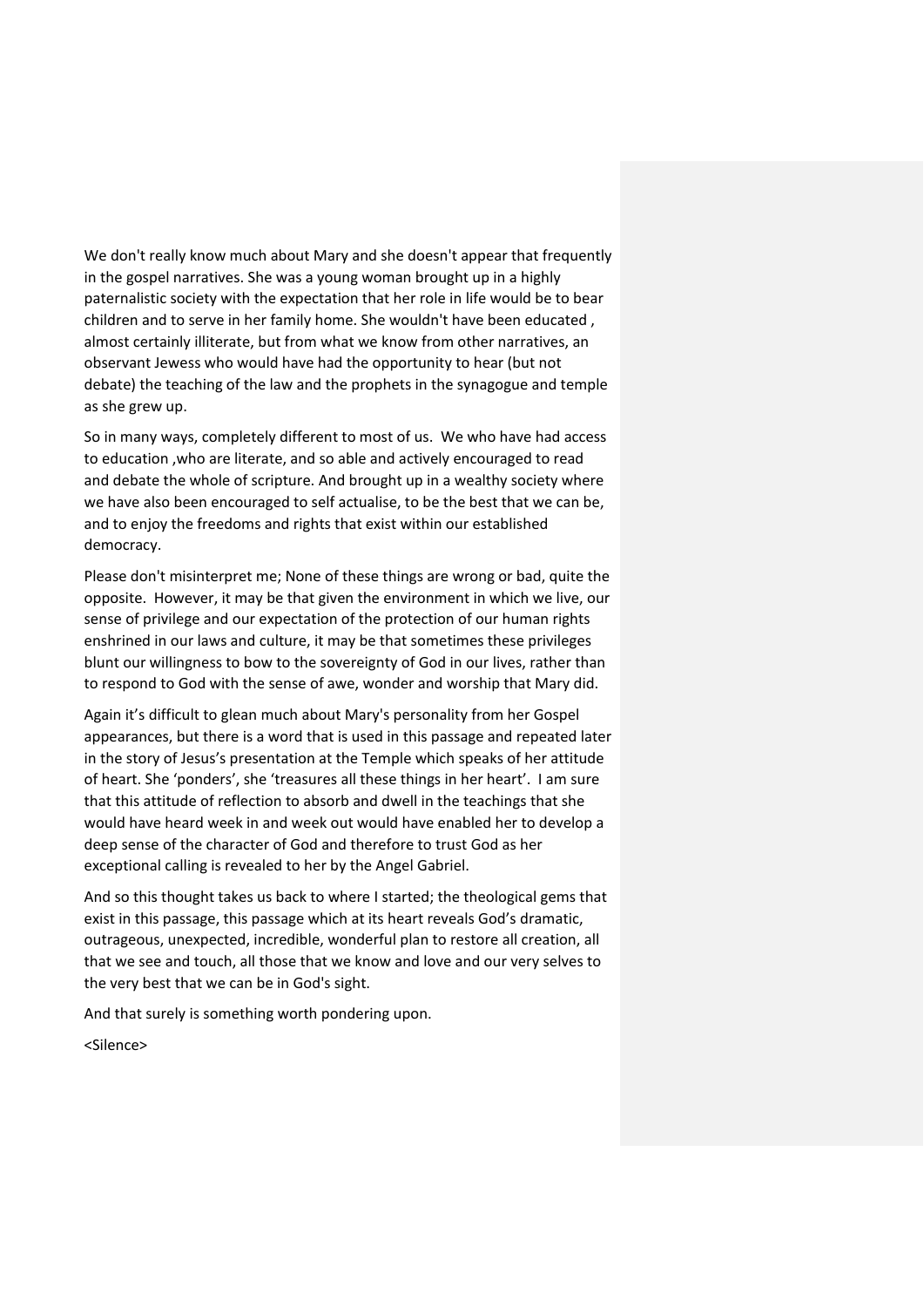We don't really know much about Mary and she doesn't appear that frequently in the gospel narratives. She was a young woman brought up in a highly paternalistic society with the expectation that her role in life would be to bear children and to serve in her family home. She wouldn't have been educated , almost certainly illiterate, but from what we know from other narratives, an observant Jewess who would have had the opportunity to hear (but not debate) the teaching of the law and the prophets in the synagogue and temple as she grew up.

So in many ways, completely different to most of us. We who have had access to education ,who are literate, and so able and actively encouraged to read and debate the whole of scripture. And brought up in a wealthy society where we have also been encouraged to self actualise, to be the best that we can be, and to enjoy the freedoms and rights that exist within our established democracy.

Please don't misinterpret me; None of these things are wrong or bad, quite the opposite. However, it may be that given the environment in which we live, our sense of privilege and our expectation of the protection of our human rights enshrined in our laws and culture, it may be that sometimes these privileges blunt our willingness to bow to the sovereignty of God in our lives, rather than to respond to God with the sense of awe, wonder and worship that Mary did.

Again it's difficult to glean much about Mary's personality from her Gospel appearances, but there is a word that is used in this passage and repeated later in the story of Jesus's presentation at the Temple which speaks of her attitude of heart. She 'ponders', she 'treasures all these things in her heart'. I am sure that this attitude of reflection to absorb and dwell in the teachings that she would have heard week in and week out would have enabled her to develop a deep sense of the character of God and therefore to trust God as her exceptional calling is revealed to her by the Angel Gabriel.

And so this thought takes us back to where I started; the theological gems that exist in this passage, this passage which at its heart reveals God's dramatic, outrageous, unexpected, incredible, wonderful plan to restore all creation, all that we see and touch, all those that we know and love and our very selves to the very best that we can be in God's sight.

And that surely is something worth pondering upon.

<Silence>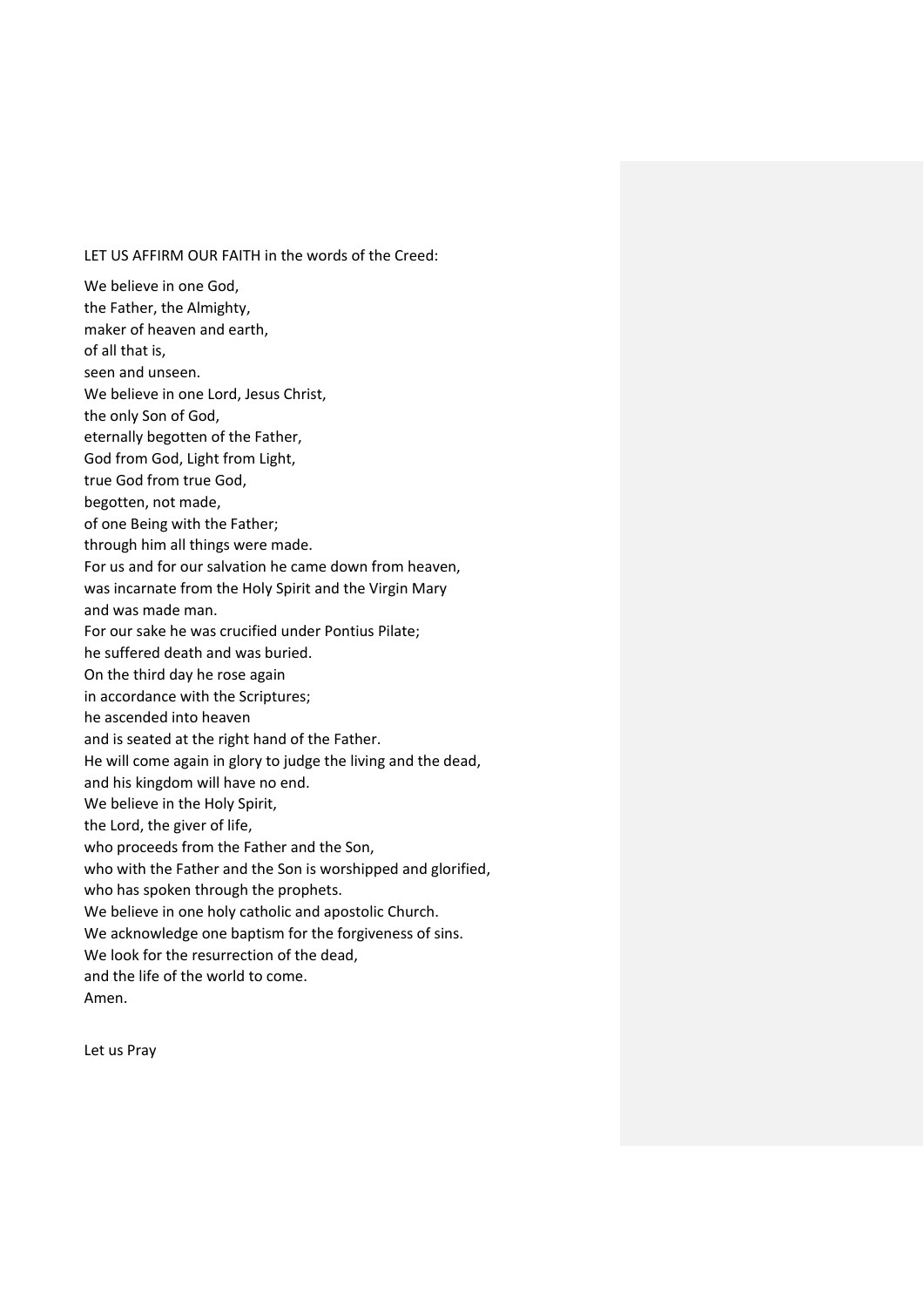# LET US AFFIRM OUR FAITH in the words of the Creed:

We believe in one God, the Father, the Almighty, maker of heaven and earth, of all that is, seen and unseen. We believe in one Lord, Jesus Christ, the only Son of God, eternally begotten of the Father, God from God, Light from Light, true God from true God, begotten, not made, of one Being with the Father; through him all things were made. For us and for our salvation he came down from heaven, was incarnate from the Holy Spirit and the Virgin Mary and was made man. For our sake he was crucified under Pontius Pilate; he suffered death and was buried. On the third day he rose again in accordance with the Scriptures; he ascended into heaven and is seated at the right hand of the Father. He will come again in glory to judge the living and the dead, and his kingdom will have no end. We believe in the Holy Spirit, the Lord, the giver of life, who proceeds from the Father and the Son, who with the Father and the Son is worshipped and glorified, who has spoken through the prophets. We believe in one holy catholic and apostolic Church. We acknowledge one baptism for the forgiveness of sins. We look for the resurrection of the dead, and the life of the world to come.

Amen.

Let us Pray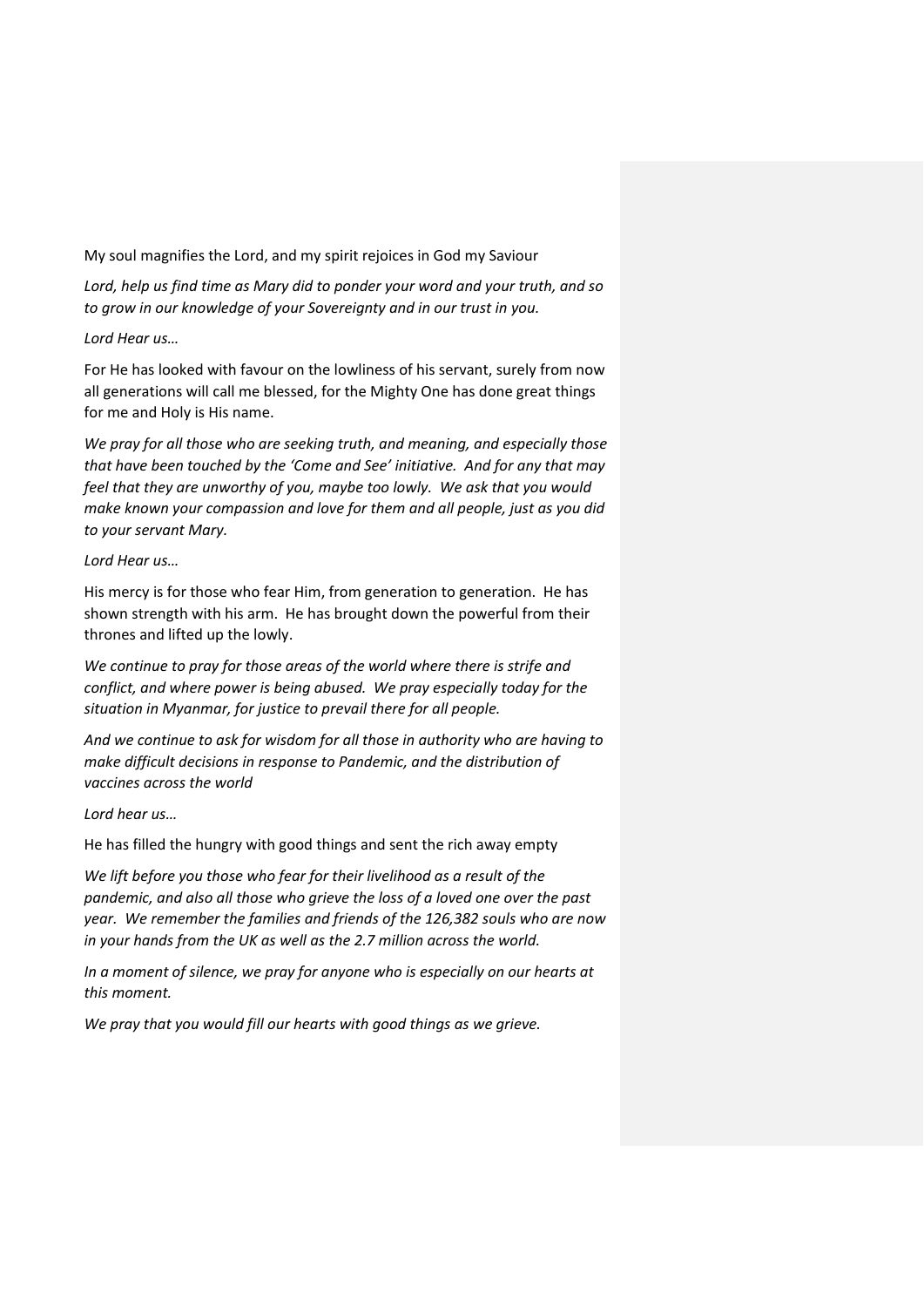My soul magnifies the Lord, and my spirit rejoices in God my Saviour

*Lord, help us find time as Mary did to ponder your word and your truth, and so to grow in our knowledge of your Sovereignty and in our trust in you.*

### *Lord Hear us…*

For He has looked with favour on the lowliness of his servant, surely from now all generations will call me blessed, for the Mighty One has done great things for me and Holy is His name.

*We pray for all those who are seeking truth, and meaning, and especially those that have been touched by the 'Come and See' initiative. And for any that may feel that they are unworthy of you, maybe too lowly. We ask that you would make known your compassion and love for them and all people, just as you did to your servant Mary.*

### *Lord Hear us…*

His mercy is for those who fear Him, from generation to generation. He has shown strength with his arm. He has brought down the powerful from their thrones and lifted up the lowly.

*We continue to pray for those areas of the world where there is strife and conflict, and where power is being abused. We pray especially today for the situation in Myanmar, for justice to prevail there for all people.* 

*And we continue to ask for wisdom for all those in authority who are having to make difficult decisions in response to Pandemic, and the distribution of vaccines across the world*

#### *Lord hear us…*

He has filled the hungry with good things and sent the rich away empty

*We lift before you those who fear for their livelihood as a result of the pandemic, and also all those who grieve the loss of a loved one over the past year. We remember the families and friends of the 126,382 souls who are now in your hands from the UK as well as the 2.7 million across the world.* 

*In a moment of silence, we pray for anyone who is especially on our hearts at this moment.* 

*We pray that you would fill our hearts with good things as we grieve.*